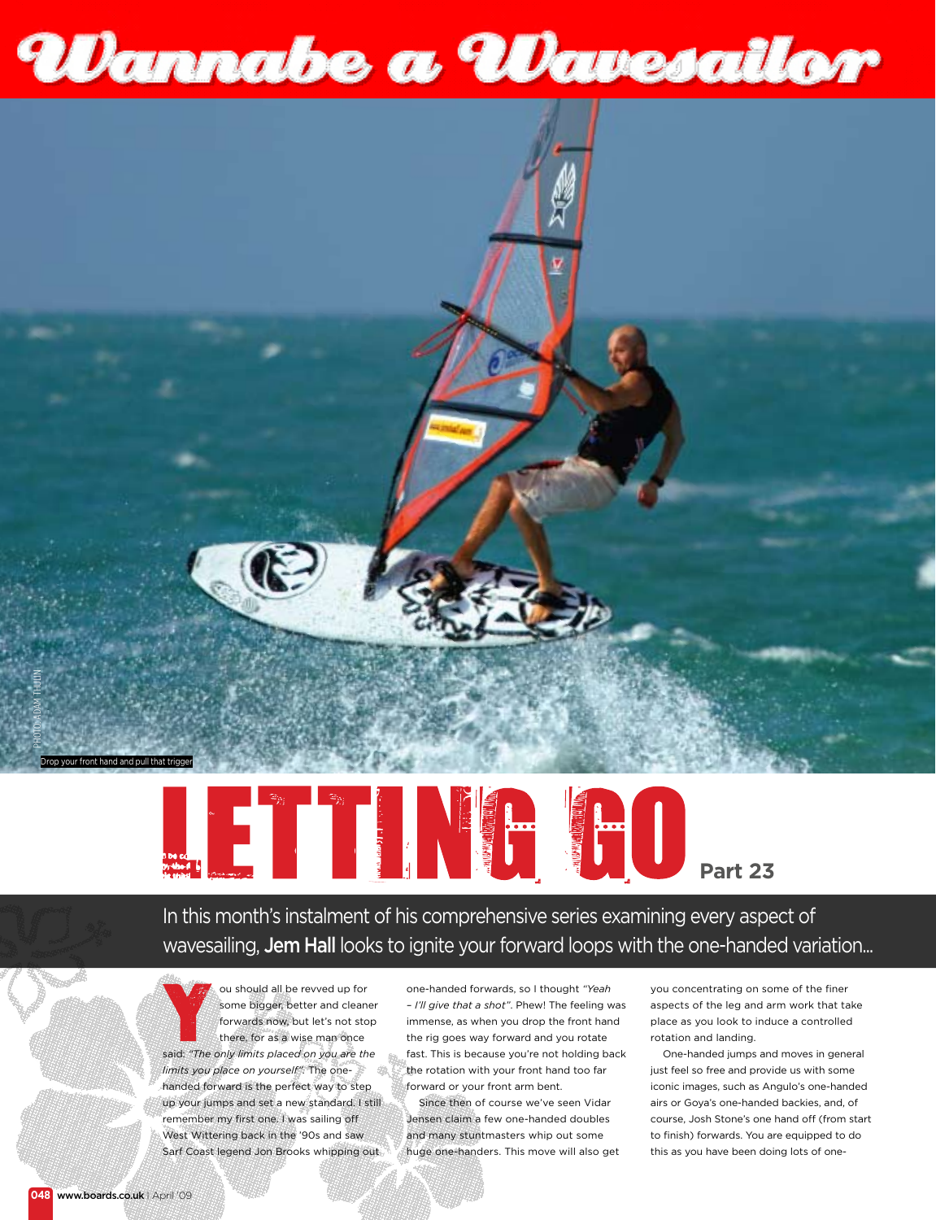



## **Part 23**

In this month's instalment of his comprehensive series examining every aspect of wavesailing, Jem Hall looks to ignite your forward loops with the one-handed variation...

ou should all be revved up for some bigger, better and cleaner forwards now, but let's not stop there, for as a wise man once said: *"The only limits placed on you are the limits you place on yourself".* The onehanded forward is the perfect way to step up your jumps and set a new standard. I still remember my first one. I was sailing off West Wittering back in the '90s and saw Sarf Coast legend Jon Brooks whipping out

one-handed forwards, so I thought *"Yeah – I'll give that a shot"*. Phew! The feeling was immense, as when you drop the front hand the rig goes way forward and you rotate fast. This is because you're not holding back the rotation with your front hand too far forward or your front arm bent.

Since then of course we've seen Vidar Jensen claim a few one-handed doubles and many stuntmasters whip out some huge one-handers. This move will also get you concentrating on some of the finer aspects of the leg and arm work that take place as you look to induce a controlled rotation and landing.

One-handed jumps and moves in general just feel so free and provide us with some iconic images, such as Angulo's one-handed airs or Goya's one-handed backies, and, of course, Josh Stone's one hand off (from start to finish) forwards. You are equipped to do this as you have been doing lots of one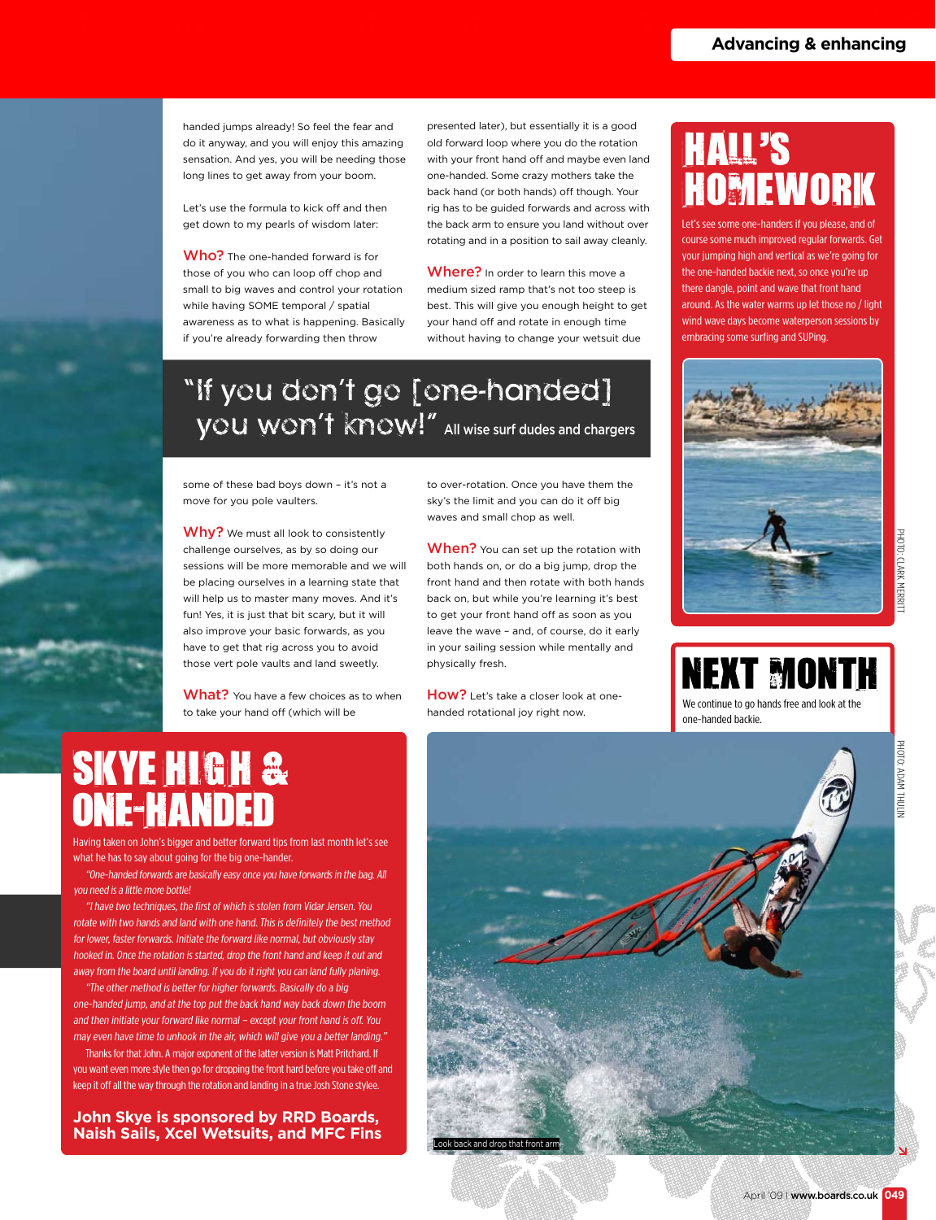handed jumps already! So feel the fear and do it anyway, and you will enjoy this amazing sensation. And yes, you will be needing those long lines to get away from your boom.

Let's use the formula to kick off and then get down to my pearls of wisdom later:

Who? The one-handed forward is for those of you who can loop off chop and small to big waves and control your rotation while having SOME temporal / spatial awareness as to what is happening. Basically if you're already forwarding then throw

presented later), but essentially it is a good old forward loop where you do the rotation with your front hand off and maybe even land one-handed. Some crazy mothers take the back hand (or both hands) off though. Your rig has to be guided forwards and across with the back arm to ensure you land without over rotating and in a position to sail away cleanly.

Where? In order to learn this move a medium sized ramp that's not too steep is best. This will give you enough height to get your hand off and rotate in enough time without having to change your wetsuit due

#### "If you don't go [one-handed] you won't know!" All wise surf dudes and chargers

some of these bad boys down – it's not a move for you pole vaulters.

Why? We must all look to consistently challenge ourselves, as by so doing our sessions will be more memorable and we will be placing ourselves in a learning state that will help us to master many moves. And it's fun! Yes, it is just that bit scary, but it will also improve your basic forwards, as you have to get that rig across you to avoid those vert pole vaults and land sweetly.

What? You have a few choices as to when to take your hand off (which will be

to over-rotation. Once you have them the sky's the limit and you can do it off big waves and small chop as well.

When? You can set up the rotation with both hands on, or do a big jump, drop the front hand and then rotate with both hands back on, but while you're learning it's best to get your front hand off as soon as you leave the wave – and, of course, do it early in your sailing session while mentally and physically fresh.

How? Let's take a closer look at onehanded rotational joy right now.

### **HALL'S** OMEWORK

Let's see some one-handers if you please, and of course some much improved regular forwards. Get your jumping high and vertical as we're going for the one-handed backie next, so once you're up there dangle, point and wave that front hand around. As the water warms up let those no / light wind wave days become waterperson sessions by embracing some surfing and SUPing.



YDAN THULIN



#### **SKYE HIGH &** VF-KANDF

Having taken on John's bigger and better forward tips from last month let's see what he has to say about going for the big one-hander.

"One-handed forwards are basically easy once you have forwards in the bag. All you need is a little more bottle!

"I have two techniques, the first of which is stolen from Vidar Jensen. You rotate with two hands and land with one hand. This is definitely the best method for lower, faster forwards. Initiate the forward like normal, but obviously stay hooked in. Once the rotation is started, drop the front hand and keep it out and away from the board until landing. If you do it right you can land fully planing.

"The other method is better for higher forwards. Basically do a big one-handed jump, and at the top put the back hand way back down the boom and then initiate your forward like normal – except your front hand is off. You may even have time to unhook in the air, which will give you a better landing."

Thanks for that John. A major exponent of the latter version is Matt Pritchard. If you want even more style then go for dropping the front hard before you take off and keep it off all the way through the rotation and landing in a true Josh Stone stylee.

**John Skye is sponsored by RRD Boards, Naish Sails, Xcel Wetsuits, and MFC Fins**